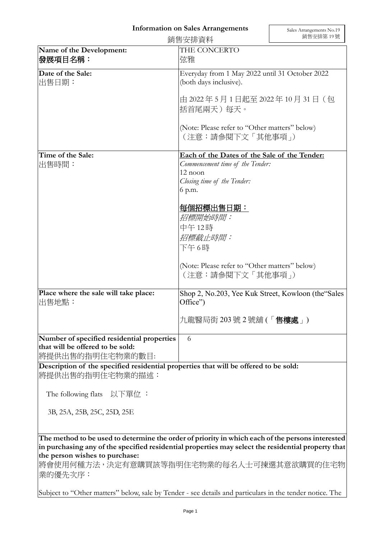## **Information on Sales Arrangements**

|                                                                                                    | 銷售安排資料                                                                                                                                                                                                                                                        | 銷售安排第19號 |
|----------------------------------------------------------------------------------------------------|---------------------------------------------------------------------------------------------------------------------------------------------------------------------------------------------------------------------------------------------------------------|----------|
| Name of the Development:<br>發展項目名稱:                                                                | THE CONCERTO<br>弦雅                                                                                                                                                                                                                                            |          |
| Date of the Sale:<br>出售日期:                                                                         | Everyday from 1 May 2022 until 31 October 2022<br>(both days inclusive).<br>由 2022年5月1日起至 2022年10月31日 (包<br>括首尾兩天) 每天。                                                                                                                                        |          |
|                                                                                                    |                                                                                                                                                                                                                                                               |          |
|                                                                                                    | (Note: Please refer to "Other matters" below)<br>(注意:請參閱下文「其他事項」)                                                                                                                                                                                             |          |
| Time of the Sale:<br>出售時間:                                                                         | Each of the Dates of the Sale of the Tender:<br>Commencement time of the Tender:<br>12 noon<br>Closing time of the Tender:<br>6 p.m.<br>每個招標出售日期:<br>招標開始時間:<br>中午12時<br>招標截止時間:<br>下午6時<br>(Note: Please refer to "Other matters" below)<br>(注意:請參閱下文「其他事項」) |          |
| Place where the sale will take place:<br>出售地點:                                                     | Shop 2, No.203, Yee Kuk Street, Kowloon (the "Sales"<br>Office")<br>九龍醫局街 203號 2號舖 (「 <b>售樓處</b> 」)                                                                                                                                                           |          |
| Number of specified residential properties<br>that will be offered to be sold:<br>將提供出售的指明住宅物業的數目: | 6                                                                                                                                                                                                                                                             |          |

**Description of the specified residential properties that will be offered to be sold:** 將提供出售的指明住宅物業的描述:

The following flats 以下單位 :

3B, 25A, 25B, 25C, 25D, 25E

**The method to be used to determine the order of priority in which each of the persons interested in purchasing any of the specified residential properties may select the residential property that the person wishes to purchase:** 

將會使用何種方法,決定有意購買該等指明住宅物業的每名人士可揀選其意欲購買的住宅物 業的優先次序:

Subject to "Other matters" below, sale by Tender - see details and particulars in the tender notice. The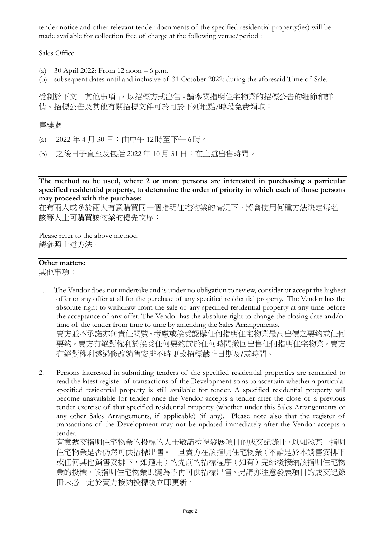tender notice and other relevant tender documents of the specified residential property(ies) will be made available for collection free of charge at the following venue/period :

Sales Office

- (a) 30 April 2022: From 12 noon 6 p.m.
- (b) subsequent dates until and inclusive of 31 October 2022: during the aforesaid Time of Sale.

受制於下文「其他事項」,以招標方式出售 - 請參閱指明住宅物業的招標公告的細節和詳 情。招標公告及其他有關招標文件可於可於下列地點/時段免費領取:

售樓處

- (a) 2022 年 4 月 30 日:由中午 12 時至下午 6 時。
- (b) 之後日子直至及包括 2022 年 10 月 31 日:在上述出售時間。

**The method to be used, where 2 or more persons are interested in purchasing a particular specified residential property, to determine the order of priority in which each of those persons may proceed with the purchase:**

在有兩人或多於兩人有意購買同一個指明住宅物業的情況下,將會使用何種方法決定每名 該等人士可購買該物業的優先次序:

Please refer to the above method. 請參照上述方法。

## **Other matters:**

其他事項:

- 1. The Vendor does not undertake and is under no obligation to review, consider or accept the highest offer or any offer at all for the purchase of any specified residential property. The Vendor has the absolute right to withdraw from the sale of any specified residential property at any time before the acceptance of any offer. The Vendor has the absolute right to change the closing date and/or time of the tender from time to time by amending the Sales Arrangements. 賣方並不承諾亦無責任閱覽、考慮或接受認購任何指明住宅物業最高出價之要約或任何 要約。賣方有絕對權利於接受任何要約前於任何時間撤回出售任何指明住宅物業。賣方 有絕對權利透過修改銷售安排不時更改招標截止日期及/或時間。
- 2. Persons interested in submitting tenders of the specified residential properties are reminded to read the latest register of transactions of the Development so as to ascertain whether a particular specified residential property is still available for tender. A specified residential property will become unavailable for tender once the Vendor accepts a tender after the close of a previous tender exercise of that specified residential property (whether under this Sales Arrangements or any other Sales Arrangements, if applicable) (if any). Please note also that the register of transactions of the Development may not be updated immediately after the Vendor accepts a tender.

有意遞交指明住宅物業的投標的人士敬請檢視發展項目的成交紀錄冊,以知悉某一指明 住宅物業是否仍然可供招標出售。一旦賣方在該指明住宅物業(不論是於本銷售安排下 或任何其他銷售安排下,如適用)的先前的招標程序(如有)完結後接納該指明住宅物 業的投標,該指明住宅物業即變為不再可供招標出售。另請亦注意發展項目的成交紀錄 冊未必一定於賣方接納投標後立即更新。